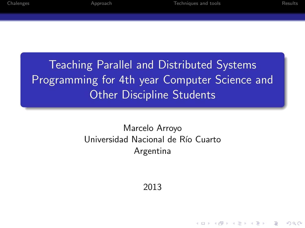**KORKA SERKER ORA** 

Teaching Parallel and Distributed Systems Programming for 4th year Computer Science and Other Discipline Students

### Marcelo Arroyo Universidad Nacional de Río Cuarto Argentina

2013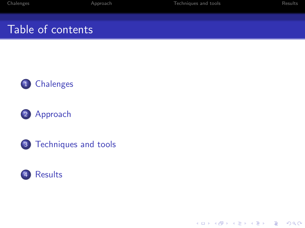# Table of contents









K ロ ▶ K @ ▶ K 할 ▶ K 할 ▶ ... 할 ... 900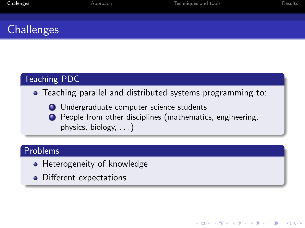**KORK ERKER ADE YOUR** 

## **Challenges**

### Teaching PDC

#### Teaching parallel and distributed systems programming to:

- **1** Undergraduate computer science students
- <sup>2</sup> People from other disciplines (mathematics, engineering, physics, biology, . . . )

#### Problems

- Heterogeneity of knowledge
- <span id="page-2-0"></span>• Different expectations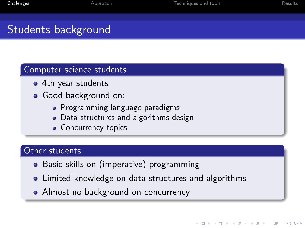**KORK ERKER ADE YOUR** 

# Students background

#### Computer science students

- 4th year students
- Good background on:
	- Programming language paradigms
	- Data structures and algorithms design
	- Concurrency topics

### Other students

- Basic skills on (imperative) programming
- Limited knowledge on data structures and algorithms
- Almost no background on concurrency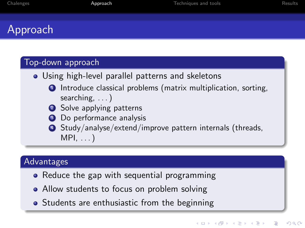## Approach

#### Top-down approach

- Using high-level parallel patterns and skeletons
	- **1** Introduce classical problems (matrix multiplication, sorting, searching, ...)
	- 2 Solve applying patterns
	- <sup>3</sup> Do performance analysis
	- <sup>4</sup> Study/analyse/extend/improve pattern internals (threads,  $MPI, \ldots)$

### Advantages

- Reduce the gap with sequential programming
- Allow students to focus on problem solving
- <span id="page-4-0"></span>• Students are enthusiastic from the beginning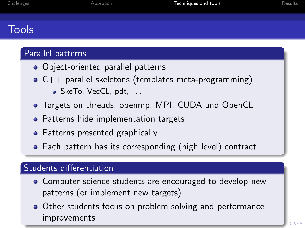# Tools

### Parallel patterns

- Object-oriented parallel patterns
- $\bullet$  C++ parallel skeletons (templates meta-programming)
	- SkeTo, VecCL, pdt, ...
- Targets on threads, openmp, MPI, CUDA and OpenCL
- Patterns hide implementation targets
- Patterns presented graphically
- Each pattern has its corresponding (high level) contract

### Students differentiation

- Computer science students are encouraged to develop new patterns (or implement new targets)
- <span id="page-5-0"></span>• Other students focus on problem solving and performance improvements